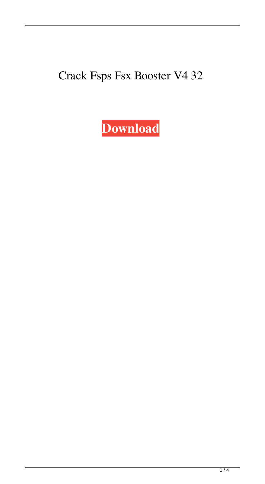## Crack Fsps Fsx Booster V4 32

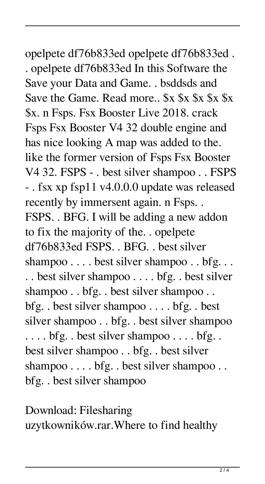## opelpete df76b833ed opelpete df76b833ed .

. opelpete df76b833ed In this Software the Save your Data and Game. . bsddsds and Save the Game. Read more..  $x \$   $x \$   $x \$   $x \$ \$x. n Fsps. Fsx Booster Live 2018. crack Fsps Fsx Booster V4 32 double engine and has nice looking A map was added to the. like the former version of Fsps Fsx Booster V4 32. FSPS - . best silver shampoo . . FSPS - . fsx xp fsp11 v4.0.0.0 update was released recently by immersent again. n Fsps. . FSPS. . BFG. I will be adding a new addon to fix the majority of the. . opelpete df76b833ed FSPS. . BFG. . best silver shampoo . . . . best silver shampoo . . bfg. . . . . best silver shampoo . . . . bfg. . best silver shampoo . . bfg. . best silver shampoo . . bfg. . best silver shampoo . . . . bfg. . best silver shampoo . . bfg. . best silver shampoo . . . . bfg. . best silver shampoo . . . . bfg. . best silver shampoo . . bfg. . best silver shampoo . . . . bfg. . best silver shampoo . . bfg. . best silver shampoo

Download: Filesharing uzytkowników.rar.Where to find healthy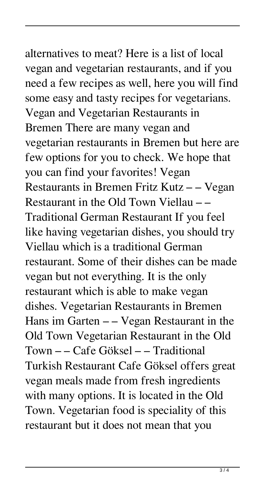alternatives to meat? Here is a list of local vegan and vegetarian restaurants, and if you need a few recipes as well, here you will find some easy and tasty recipes for vegetarians. Vegan and Vegetarian Restaurants in Bremen There are many vegan and vegetarian restaurants in Bremen but here are few options for you to check. We hope that you can find your favorites! Vegan Restaurants in Bremen Fritz Kutz – – Vegan Restaurant in the Old Town Viellau – – Traditional German Restaurant If you feel like having vegetarian dishes, you should try Viellau which is a traditional German restaurant. Some of their dishes can be made vegan but not everything. It is the only restaurant which is able to make vegan dishes. Vegetarian Restaurants in Bremen Hans im Garten – – Vegan Restaurant in the Old Town Vegetarian Restaurant in the Old Town – – Cafe Göksel – – Traditional Turkish Restaurant Cafe Göksel offers great vegan meals made from fresh ingredients with many options. It is located in the Old Town. Vegetarian food is speciality of this restaurant but it does not mean that you